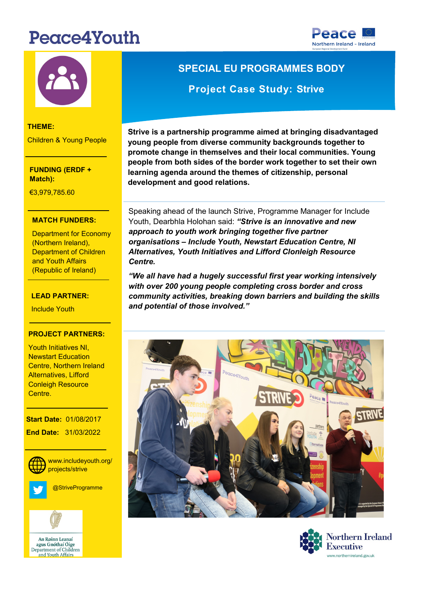# Peace4Youth





### **THEME:**

Children & Young People

**FUNDING (ERDF + Match):** 

€3,979,785.60

#### Research and Innovation **MATCH FUNDERS:**

(Northern Ireland), (Republic of Ireland) Department for Economy Department of Children and Youth Affairs

#### **LEAD PARTNER:**

<mark>Include Youth</mark>

#### **PROJECT PARTNERS:**

-<br>Youth Initiatives NI, Newstart Education oonale, Netarem ale<br>Alternatives, Lifford Centre, Northern Ireland Conleigh Resource Centre.

**Start Date: 01/08/2017 End Date:** 31/03/2022



**/** projects/strive www.includeyouth.org/

@StriveProgramme



**SPECIAL EU PROGRAMMES BODY Project Case Study: Strive** 

**Strive is a partnership programme aimed at bringing disadvantaged young people from diverse community backgrounds together to promote change in themselves and their local communities. Young people from both sides of the border work together to set their own learning agenda around the themes of citizenship, personal development and good relations.** 

Speaking ahead of the launch Strive, Programme Manager for Include Youth, Dearbhla Holohan said: *"Strive is an innovative and new approach to youth work bringing together five partner organisations – Include Youth, Newstart Education Centre, NI Alternatives, Youth Initiatives and Lifford Clonleigh Resource Centre.* 

*"We all have had a hugely successful first year working intensively with over 200 young people completing cross border and cross community activities, breaking down barriers and building the skills and potential of those involved."*